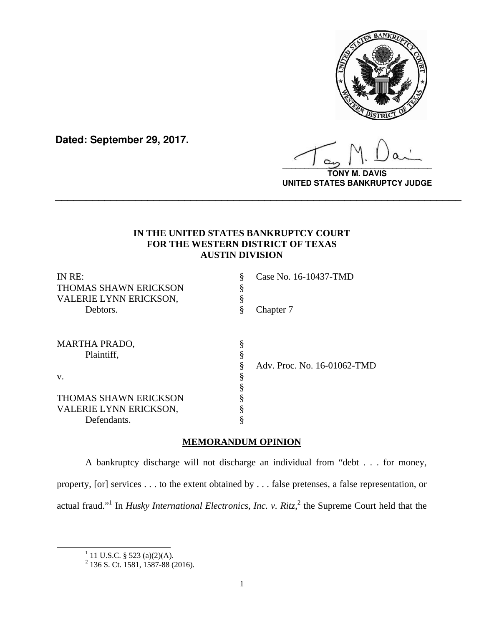

**Dated: September 29, 2017.**

**\_\_\_\_\_\_\_\_\_\_\_\_\_\_\_\_\_\_\_\_\_\_\_\_\_\_\_\_\_\_\_\_\_\_**

**TONY M. DAVIS UNITED STATES BANKRUPTCY JUDGE**

### **IN THE UNITED STATES BANKRUPTCY COURT FOR THE WESTERN DISTRICT OF TEXAS AUSTIN DIVISION**

**\_\_\_\_\_\_\_\_\_\_\_\_\_\_\_\_\_\_\_\_\_\_\_\_\_\_\_\_\_\_\_\_\_\_\_\_\_\_\_\_\_\_\_\_\_\_\_\_\_\_\_\_\_\_\_\_\_\_\_\_\_\_\_\_\_\_**

| IN RE:<br><b>THOMAS SHAWN ERICKSON</b> |    | Case No. 16-10437-TMD       |
|----------------------------------------|----|-----------------------------|
| VALERIE LYNN ERICKSON,                 |    |                             |
| Debtors.                               | 8  | Chapter 7                   |
| <b>MARTHA PRADO,</b>                   | \$ |                             |
| Plaintiff,                             |    |                             |
|                                        |    | Adv. Proc. No. 16-01062-TMD |
| V.                                     |    |                             |
|                                        |    |                             |
| <b>THOMAS SHAWN ERICKSON</b>           |    |                             |
| VALERIE LYNN ERICKSON,                 |    |                             |
| Defendants.                            |    |                             |

## **MEMORANDUM OPINION**

A bankruptcy discharge will not discharge an individual from "debt . . . for money, property, [or] services . . . to the extent obtained by . . . false pretenses, a false representation, or actual fraud."<sup>1</sup> In *Husky International Electronics, Inc. v. Ritz*,<sup>2</sup> the Supreme Court held that the

<sup>&</sup>lt;u>1</u>

<sup>&</sup>lt;sup>1</sup> 11 U.S.C. § 523 (a)(2)(A).<br><sup>2</sup> 136 S. Ct. 1581, 1587-88 (2016).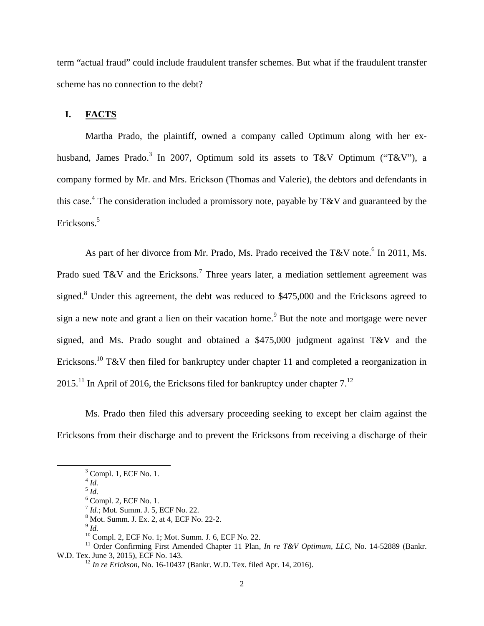term "actual fraud" could include fraudulent transfer schemes. But what if the fraudulent transfer scheme has no connection to the debt?

#### **I. FACTS**

Martha Prado, the plaintiff, owned a company called Optimum along with her exhusband, James Prado.<sup>3</sup> In 2007, Optimum sold its assets to T&V Optimum ("T&V"), a company formed by Mr. and Mrs. Erickson (Thomas and Valerie), the debtors and defendants in this case.<sup>4</sup> The consideration included a promissory note, payable by T&V and guaranteed by the Ericksons.<sup>5</sup>

As part of her divorce from Mr. Prado, Ms. Prado received the T&V note.<sup>6</sup> In 2011, Ms. Prado sued T&V and the Ericksons.<sup>7</sup> Three years later, a mediation settlement agreement was signed.<sup>8</sup> Under this agreement, the debt was reduced to \$475,000 and the Ericksons agreed to sign a new note and grant a lien on their vacation home.<sup>9</sup> But the note and mortgage were never signed, and Ms. Prado sought and obtained a \$475,000 judgment against T&V and the Ericksons.<sup>10</sup> T&V then filed for bankruptcy under chapter 11 and completed a reorganization in 2015.<sup>11</sup> In April of 2016, the Ericksons filed for bankruptcy under chapter  $7<sup>12</sup>$ 

Ms. Prado then filed this adversary proceeding seeking to except her claim against the Ericksons from their discharge and to prevent the Ericksons from receiving a discharge of their

 $\frac{3}{3}$  $3$  Compl. 1, ECF No. 1.

 $^{4}$  *Id.* <sup>5</sup> *Id.*

<sup>6</sup> Compl. 2, ECF No. 1. <sup>7</sup> *Id.*; Mot. Summ. J. 5, ECF No. 22.

<sup>&</sup>lt;sup>8</sup> Mot. Summ. J. Ex. 2, at 4, ECF No. 22-2.

<sup>9</sup> *Id.*

<sup>10</sup> Compl. 2, ECF No. 1; Mot. Summ. J. 6, ECF No. 22.

<sup>&</sup>lt;sup>11</sup> Order Confirming First Amended Chapter 11 Plan, *In re T&V Optimum, LLC*, No. 14-52889 (Bankr. W.D. Tex. June 3, 2015), ECF No. 143. <sup>12</sup> *In re Erickson*, No. 16-10437 (Bankr. W.D. Tex. filed Apr. 14, 2016).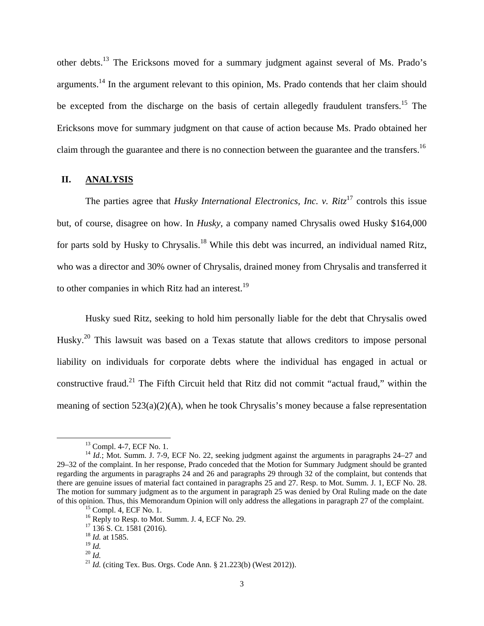other debts.13 The Ericksons moved for a summary judgment against several of Ms. Prado's arguments.14 In the argument relevant to this opinion, Ms. Prado contends that her claim should be excepted from the discharge on the basis of certain allegedly fraudulent transfers.<sup>15</sup> The Ericksons move for summary judgment on that cause of action because Ms. Prado obtained her claim through the guarantee and there is no connection between the guarantee and the transfers.<sup>16</sup>

#### **II. ANALYSIS**

The parties agree that *Husky International Electronics, Inc. v. Ritz*<sup>17</sup> controls this issue but, of course, disagree on how. In *Husky*, a company named Chrysalis owed Husky \$164,000 for parts sold by Husky to Chrysalis.<sup>18</sup> While this debt was incurred, an individual named Ritz, who was a director and 30% owner of Chrysalis, drained money from Chrysalis and transferred it to other companies in which Ritz had an interest.<sup>19</sup>

Husky sued Ritz, seeking to hold him personally liable for the debt that Chrysalis owed Husky.<sup>20</sup> This lawsuit was based on a Texas statute that allows creditors to impose personal liability on individuals for corporate debts where the individual has engaged in actual or constructive fraud.<sup>21</sup> The Fifth Circuit held that Ritz did not commit "actual fraud," within the meaning of section 523(a)(2)(A), when he took Chrysalis's money because a false representation

<sup>&</sup>lt;sup>13</sup> Compl. 4-7, ECF No. 1.

<sup>&</sup>lt;sup>14</sup> *Id.*; Mot. Summ. J. 7-9, ECF No. 22, seeking judgment against the arguments in paragraphs 24–27 and 29–32 of the complaint. In her response, Prado conceded that the Motion for Summary Judgment should be granted regarding the arguments in paragraphs 24 and 26 and paragraphs 29 through 32 of the complaint, but contends that there are genuine issues of material fact contained in paragraphs 25 and 27. Resp. to Mot. Summ. J. 1, ECF No. 28. The motion for summary judgment as to the argument in paragraph 25 was denied by Oral Ruling made on the date of this opinion. Thus, this Memorandum Opinion will only address the allegations in paragraph 27 of the complaint. 15 Compl. 4, ECF No. 1.

 $16$  Reply to Resp. to Mot. Summ. J. 4, ECF No. 29.

 $17$  136 S. Ct. 1581 (2016).

 $^{18}$  *Id.* at 1585.<br> $^{19}$  *Id.* 

<sup>19</sup> *Id.* <sup>20</sup> *Id.* <sup>21</sup> *Id.* (citing Tex. Bus. Orgs. Code Ann. § 21.223(b) (West 2012)).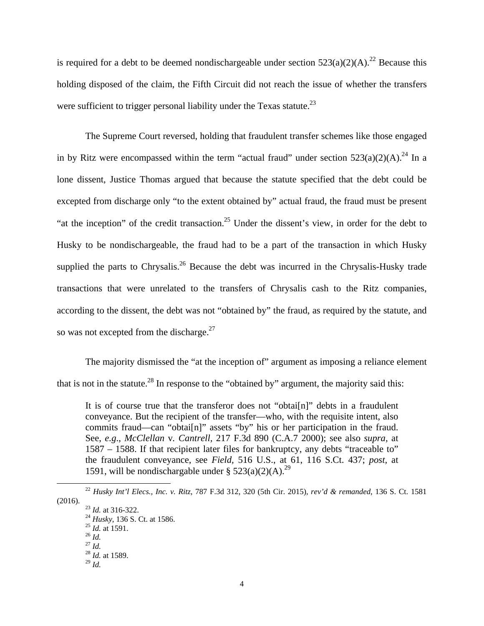is required for a debt to be deemed nondischargeable under section  $523(a)(2)(A)$ .<sup>22</sup> Because this holding disposed of the claim, the Fifth Circuit did not reach the issue of whether the transfers were sufficient to trigger personal liability under the Texas statute.<sup>23</sup>

The Supreme Court reversed, holding that fraudulent transfer schemes like those engaged in by Ritz were encompassed within the term "actual fraud" under section  $523(a)(2)(A)^{24}$  In a lone dissent, Justice Thomas argued that because the statute specified that the debt could be excepted from discharge only "to the extent obtained by" actual fraud, the fraud must be present "at the inception" of the credit transaction.<sup>25</sup> Under the dissent's view, in order for the debt to Husky to be nondischargeable, the fraud had to be a part of the transaction in which Husky supplied the parts to Chrysalis.<sup>26</sup> Because the debt was incurred in the Chrysalis-Husky trade transactions that were unrelated to the transfers of Chrysalis cash to the Ritz companies, according to the dissent, the debt was not "obtained by" the fraud, as required by the statute, and so was not excepted from the discharge. $27$ 

The majority dismissed the "at the inception of" argument as imposing a reliance element that is not in the statute.<sup>28</sup> In response to the "obtained by" argument, the majority said this:

It is of course true that the transferor does not "obtai[n]" debts in a fraudulent conveyance. But the recipient of the transfer—who, with the requisite intent, also commits fraud—can "obtai[n]" assets "by" his or her participation in the fraud. See, *e.g*., *McClellan* v*. Cantrell,* 217 F.3d 890 (C.A.7 2000); see also *supra,* at 1587 – 1588. If that recipient later files for bankruptcy, any debts "traceable to" the fraudulent conveyance, see *Field,* 516 U.S., at 61, 116 S.Ct. 437; *post,* at 1591, will be nondischargable under  $\frac{29}{2}$  (2)(A).<sup>29</sup>

 <sup>22</sup> *Husky Int'l Elecs., Inc. v. Ritz*, 787 F.3d 312, 320 (5th Cir. 2015), *rev'd & remanded*, 136 S. Ct. 1581

<sup>&</sup>lt;sup>23</sup> *Id.* at 316-322.<br><sup>24</sup> *Husky*, 136 S. Ct. at 1586.<br><sup>25</sup> *Id.* at 1591.<br><sup>26</sup> *Id.* <sup>27</sup> *Id.* 

<sup>27</sup> *Id.* <sup>28</sup> *Id.* at 1589.

 $^{29}$  *Id.*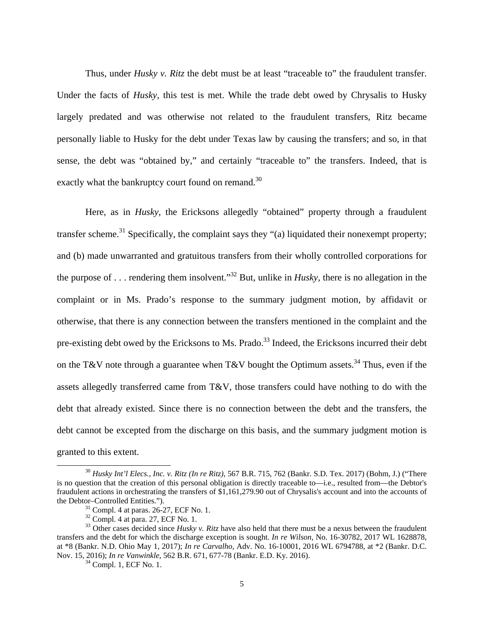Thus, under *Husky v. Ritz* the debt must be at least "traceable to" the fraudulent transfer. Under the facts of *Husky*, this test is met. While the trade debt owed by Chrysalis to Husky largely predated and was otherwise not related to the fraudulent transfers, Ritz became personally liable to Husky for the debt under Texas law by causing the transfers; and so, in that sense, the debt was "obtained by," and certainly "traceable to" the transfers. Indeed, that is exactly what the bankruptcy court found on remand.<sup>30</sup>

Here, as in *Husky*, the Ericksons allegedly "obtained" property through a fraudulent transfer scheme.<sup>31</sup> Specifically, the complaint says they "(a) liquidated their nonexempt property; and (b) made unwarranted and gratuitous transfers from their wholly controlled corporations for the purpose of . . . rendering them insolvent."32 But, unlike in *Husky,* there is no allegation in the complaint or in Ms. Prado's response to the summary judgment motion, by affidavit or otherwise, that there is any connection between the transfers mentioned in the complaint and the pre-existing debt owed by the Ericksons to Ms. Prado.<sup>33</sup> Indeed, the Ericksons incurred their debt on the T&V note through a guarantee when T&V bought the Optimum assets.<sup>34</sup> Thus, even if the assets allegedly transferred came from T&V, those transfers could have nothing to do with the debt that already existed. Since there is no connection between the debt and the transfers, the debt cannot be excepted from the discharge on this basis, and the summary judgment motion is granted to this extent.

 <sup>30</sup> *Husky Int'l Elecs., Inc. v. Ritz (In re Ritz)*, 567 B.R. 715, 762 (Bankr. S.D. Tex. 2017) (Bohm, J.) ("There is no question that the creation of this personal obligation is directly traceable to—i.e., resulted from—the Debtor's fraudulent actions in orchestrating the transfers of \$1,161,279.90 out of Chrysalis's account and into the accounts of the Debtor–Controlled Entities.").<br> $31$  Compl. 4 at paras. 26-27, ECF No. 1.

 $32$  Compl. 4 at para. 27, ECF No. 1.

<sup>&</sup>lt;sup>33</sup> Other cases decided since *Husky v. Ritz* have also held that there must be a nexus between the fraudulent transfers and the debt for which the discharge exception is sought. *In re Wilson*, No. 16-30782, 2017 WL 1628878, at \*8 (Bankr. N.D. Ohio May 1, 2017); *In re Carvalho,* Adv. No. 16-10001, 2016 WL 6794788, at \*2 (Bankr. D.C. Nov. 15, 2016); *In re Vanwinkle*, 562 B.R. 671, 677-78 (Bankr. E.D. Ky. 2016). 34 Compl. 1, ECF No. 1.